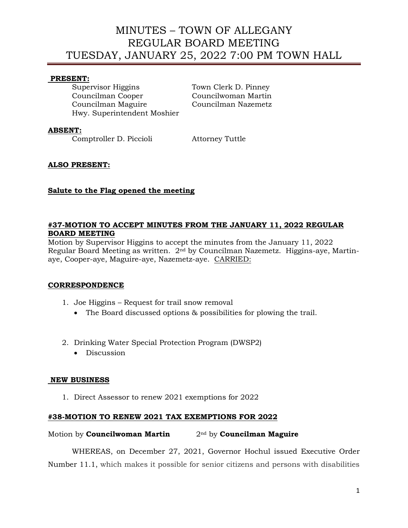### **PRESENT:**

Supervisor Higgins Town Clerk D. Pinney Councilman Cooper Councilwoman Martin Councilman Maguire Councilman Nazemetz Hwy. Superintendent Moshier

# **ABSENT:**

Comptroller D. Piccioli Attorney Tuttle

# **ALSO PRESENT:**

# **Salute to the Flag opened the meeting**

# **#37-MOTION TO ACCEPT MINUTES FROM THE JANUARY 11, 2022 REGULAR BOARD MEETING**

Motion by Supervisor Higgins to accept the minutes from the January 11, 2022 Regular Board Meeting as written. 2nd by Councilman Nazemetz. Higgins-aye, Martinaye, Cooper-aye, Maguire-aye, Nazemetz-aye. CARRIED:

### **CORRESPONDENCE**

- 1. Joe Higgins Request for trail snow removal
	- The Board discussed options & possibilities for plowing the trail.
- 2. Drinking Water Special Protection Program (DWSP2)
	- Discussion

### **NEW BUSINESS**

1. Direct Assessor to renew 2021 exemptions for 2022

### **#38-MOTION TO RENEW 2021 TAX EXEMPTIONS FOR 2022**

#### Motion by **Councilwoman Martin** 2nd by **Councilman Maguire**

WHEREAS, on December 27, 2021, Governor Hochul issued Executive Order Number 11.1, which makes it possible for senior citizens and persons with disabilities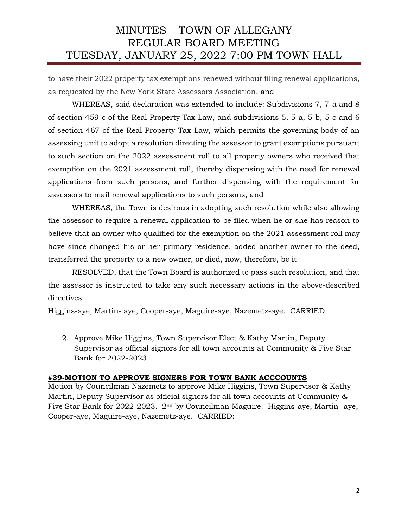to have their 2022 property tax exemptions renewed without filing renewal applications, as requested by the New York State Assessors Association, and

WHEREAS, said declaration was extended to include: Subdivisions 7, 7-a and 8 of section 459-c of the Real Property Tax Law, and subdivisions 5, 5-a, 5-b, 5-c and 6 of section 467 of the Real Property Tax Law, which permits the governing body of an assessing unit to adopt a resolution directing the assessor to grant exemptions pursuant to such section on the 2022 assessment roll to all property owners who received that exemption on the 2021 assessment roll, thereby dispensing with the need for renewal applications from such persons, and further dispensing with the requirement for assessors to mail renewal applications to such persons, and

WHEREAS, the Town is desirous in adopting such resolution while also allowing the assessor to require a renewal application to be filed when he or she has reason to believe that an owner who qualified for the exemption on the 2021 assessment roll may have since changed his or her primary residence, added another owner to the deed, transferred the property to a new owner, or died, now, therefore, be it

RESOLVED, that the Town Board is authorized to pass such resolution, and that the assessor is instructed to take any such necessary actions in the above-described directives.

Higgins-aye, Martin- aye, Cooper-aye, Maguire-aye, Nazemetz-aye. CARRIED:

2. Approve Mike Higgins, Town Supervisor Elect & Kathy Martin, Deputy Supervisor as official signors for all town accounts at Community & Five Star Bank for 2022-2023

#### **#39-MOTION TO APPROVE SIGNERS FOR TOWN BANK ACCCOUNTS**

Motion by Councilman Nazemetz to approve Mike Higgins, Town Supervisor & Kathy Martin, Deputy Supervisor as official signors for all town accounts at Community & Five Star Bank for 2022-2023. 2nd by Councilman Maguire. Higgins-aye, Martin- aye, Cooper-aye, Maguire-aye, Nazemetz-aye. CARRIED: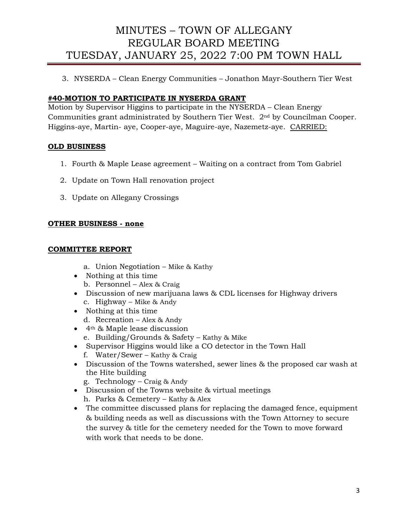3. NYSERDA – Clean Energy Communities – Jonathon Mayr-Southern Tier West

# **#40-MOTION TO PARTICIPATE IN NYSERDA GRANT**

Motion by Supervisor Higgins to participate in the NYSERDA – Clean Energy Communities grant administrated by Southern Tier West. 2nd by Councilman Cooper. Higgins-aye, Martin- aye, Cooper-aye, Maguire-aye, Nazemetz-aye. CARRIED:

# **OLD BUSINESS**

- 1. Fourth & Maple Lease agreement Waiting on a contract from Tom Gabriel
- 2. Update on Town Hall renovation project
- 3. Update on Allegany Crossings

# **OTHER BUSINESS - none**

# **COMMITTEE REPORT**

- a. Union Negotiation Mike & Kathy
- Nothing at this time
- b. Personnel Alex & Craig
- Discussion of new marijuana laws & CDL licenses for Highway drivers c. Highway – Mike & Andy
- Nothing at this time d. Recreation – Alex & Andy
- 4th & Maple lease discussion
	- e. Building/Grounds & Safety Kathy & Mike
- Supervisor Higgins would like a CO detector in the Town Hall
	- f. Water/Sewer Kathy & Craig
- Discussion of the Towns watershed, sewer lines & the proposed car wash at the Hite building
	- g. Technology Craig & Andy
- Discussion of the Towns website & virtual meetings h. Parks & Cemetery – Kathy & Alex
- The committee discussed plans for replacing the damaged fence, equipment & building needs as well as discussions with the Town Attorney to secure the survey & title for the cemetery needed for the Town to move forward with work that needs to be done.